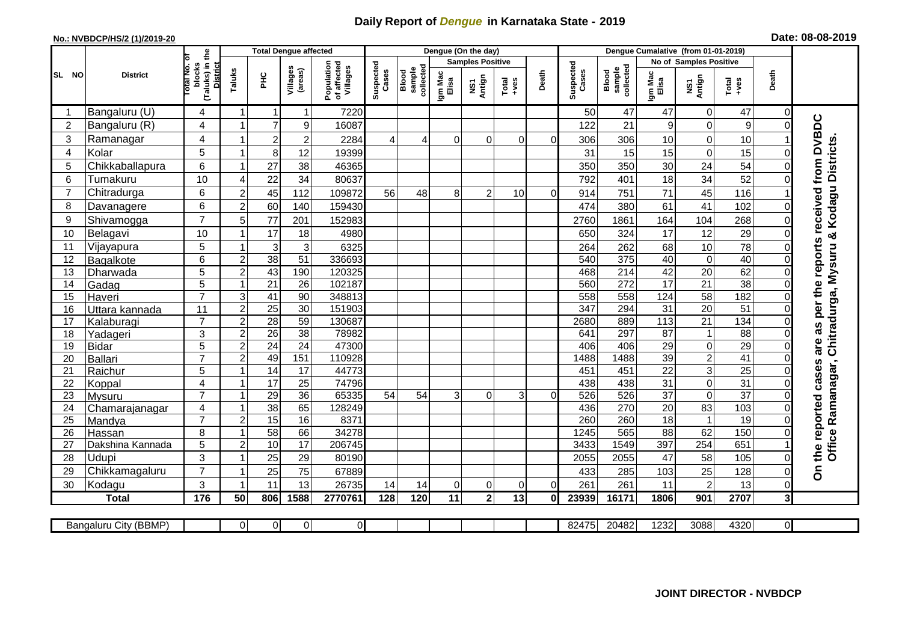## **Daily Report of** *Dengue* **in Karnataka State - 2019**

## **No.: NVBDCP/HS/2 (1)/2019-20 Date: 08-08-2019**

|                |                            |                                                              | <b>Total Dengue affected</b> |                 |                     |                                       |                    |                              |                  | Dengue (On the day)     |               |                |                    |                              |                                    |                        |                       |                |                                         |
|----------------|----------------------------|--------------------------------------------------------------|------------------------------|-----------------|---------------------|---------------------------------------|--------------------|------------------------------|------------------|-------------------------|---------------|----------------|--------------------|------------------------------|------------------------------------|------------------------|-----------------------|----------------|-----------------------------------------|
|                |                            |                                                              |                              |                 |                     |                                       |                    |                              |                  | <b>Samples Positive</b> |               |                |                    |                              |                                    | No of Samples Positive |                       |                |                                         |
| SL NO          | <b>District</b>            | (Taluks) in the<br>Total No. of<br>blocks<br><b>District</b> | Taluks                       | ŦЕ              | Villages<br>(areas) | Population<br>of affected<br>Villages | Suspected<br>Cases | collected<br>sample<br>Blood | Igm Mac<br>Elisa | NS1<br>Antign           | Total<br>+ves | Death          | Suspected<br>Cases | collected<br>sample<br>Blood | Igm Mac<br>Elisa                   | NS1<br>Antign          | Total<br>+ves         | Death          |                                         |
|                | Bangaluru (U)              | 4                                                            | -1                           | -1              | $\mathbf 1$         | 7220                                  |                    |                              |                  |                         |               |                | 50                 | 47                           | 47                                 | $\overline{0}$         | 47                    | $\Omega$       |                                         |
| $\overline{2}$ | Bangaluru (R)              | 4                                                            | 1                            | $\overline{7}$  | 9                   | 16087                                 |                    |                              |                  |                         |               |                | 122                | 21                           | 9                                  | $\mathbf 0$            | 9                     | $\Omega$       |                                         |
| 3              | Ramanagar                  | 4                                                            |                              | $\overline{c}$  | $\overline{c}$      | 2284                                  | 4                  | 4                            | $\Omega$         | $\Omega$                | $\Omega$      | $\Omega$       | 306                | 306                          | 10                                 | $\mathbf 0$            | 10                    |                | as per the reports received from DVBDC  |
| 4              | Kolar                      | 5                                                            | 1                            | 8 <sup>1</sup>  | 12                  | 19399                                 |                    |                              |                  |                         |               |                | 31                 | 15                           | 15                                 | $\mathbf 0$            | 15                    | $\Omega$       |                                         |
| 5              | Chikkaballapura            | 6                                                            | -1                           | 27              | 38                  | 46365                                 |                    |                              |                  |                         |               |                | 350                | 350                          | 30                                 | 24                     | 54                    | 0              |                                         |
| 6              | Tumakuru                   | 10                                                           | 4                            | 22              | 34                  | 80637                                 |                    |                              |                  |                         |               |                | 792                | 401                          | 18                                 | 34                     | 52                    | 0              |                                         |
| $\overline{7}$ | Chitradurga                | 6                                                            | $\overline{c}$               | 45              | 112                 | 109872                                | 56                 | 48                           | 8                | $\overline{2}$          | 10            | $\Omega$       | 914                | 751                          | 71                                 | 45                     | 116                   |                |                                         |
| 8              | Davanagere                 | 6                                                            | $\overline{c}$               | 60              | 140                 | 159430                                |                    |                              |                  |                         |               |                | 474                | 380                          | 61                                 | 41                     | 102                   | 0              |                                         |
| 9              | Shivamogga                 | $\overline{7}$                                               | 5                            | 77              | 201                 | 152983                                |                    |                              |                  |                         |               |                | 2760               | 1861                         | 164                                | 104                    | 268                   |                | Kodagu Districts.                       |
| 10             | Belagavi                   | 10                                                           |                              | 17              | 18                  | 4980                                  |                    |                              |                  |                         |               |                | 650                | 324                          | 17                                 | 12                     | 29                    |                | ×                                       |
| 11             | Vijayapura                 | 5                                                            |                              | $\mathbf{3}$    | 3                   | 6325                                  |                    |                              |                  |                         |               |                | 264                | 262                          | 68                                 | 10                     | 78                    | 0              |                                         |
| 12             | Bagalkote                  | 6                                                            | $\overline{2}$               | $\overline{38}$ | 51                  | 336693                                |                    |                              |                  |                         |               |                | 540                | 375                          | 40                                 | $\overline{0}$         | 40                    | $\Omega$       | Chitradurga, Mysuru                     |
| 13             | Dharwada                   | $\overline{5}$                                               | $\overline{c}$               | 43              | 190                 | 120325                                |                    |                              |                  |                         |               |                | 468                | 214                          | 42                                 | 20                     | 62                    | $\Omega$       |                                         |
| 14             | Gadag                      | $\overline{5}$                                               | -1                           | 21              | $\overline{26}$     | 102187                                |                    |                              |                  |                         |               |                | 560                | 272                          | 17                                 | 21                     | 38                    | $\Omega$       |                                         |
| 15             | Haveri                     | $\overline{7}$                                               | 3                            | 41              | 90                  | 348813                                |                    |                              |                  |                         |               |                | 558                | 558                          | 124                                | 58                     | 182                   | 0              |                                         |
| 16             | Uttara kannada             | 11                                                           | $\overline{a}$               | $\overline{25}$ | $\overline{30}$     | 151903                                |                    |                              |                  |                         |               |                | 347                | 294                          | $\overline{31}$                    | 20                     | $\overline{51}$       | 0              |                                         |
| 17             | Kalaburagi                 | $\overline{7}$                                               | $\overline{2}$               | $\overline{28}$ | 59                  | 130687                                |                    |                              |                  |                         |               |                | 2680               | 889                          | 113                                | $\overline{21}$        | 134                   | $\Omega$       |                                         |
| 18             | Yadageri                   | 3                                                            | $\overline{c}$               | 26              | 38                  | 78982                                 |                    |                              |                  |                         |               |                | 641                | 297                          | 87                                 | $\mathbf{1}$           | 88                    | 0              |                                         |
| 19             | <b>Bidar</b>               | $\overline{5}$                                               | $\overline{c}$               | $\overline{24}$ | $\overline{24}$     | 47300                                 |                    |                              |                  |                         |               |                | 406                | 406                          | 29                                 | $\mathbf 0$            | 29                    | $\Omega$       | are                                     |
| 20             | <b>Ballari</b>             | $\overline{7}$                                               | 2                            | 49              | 151                 | 110928                                |                    |                              |                  |                         |               |                | 1488               | 1488                         | 39                                 | $\overline{c}$         | 41                    | 0              |                                         |
| 21             | Raichur                    | $\overline{5}$                                               |                              | 14              | $\overline{17}$     | 44773                                 |                    |                              |                  |                         |               |                | 451                | 451                          | $\overline{22}$                    | ω                      | $\overline{25}$       |                |                                         |
| 22             | Koppal                     | 4<br>$\overline{7}$                                          | -1                           | 17              | 25                  | 74796                                 |                    |                              |                  |                         |               |                | 438                | 438<br>526                   | 31                                 | $\mathbf 0$<br>0       | 31<br>$\overline{37}$ | 0              |                                         |
| 23             | Mysuru                     |                                                              |                              | 29<br>38        | 36<br>65            | 65335<br>128249                       | 54                 | 54                           | 3                | $\Omega$                | 3             | $\Omega$       | 526<br>436         | 270                          | $\overline{37}$<br>$\overline{20}$ |                        | 103                   | $\Omega$       |                                         |
| 24<br>25       | Chamarajanagar             | 4<br>$\overline{7}$                                          | -1<br>$\overline{2}$         | 15              | 16                  | 8371                                  |                    |                              |                  |                         |               |                | 260                | 260                          | $\overline{18}$                    | 83<br>$\mathbf{1}$     | $\overline{19}$       | 0<br>$\Omega$  |                                         |
| 26             | Mandya                     | 8                                                            | -1                           | 58              | 66                  | 34278                                 |                    |                              |                  |                         |               |                | 1245               | 565                          | 88                                 | 62                     | 150                   |                |                                         |
| 27             | Hassan<br>Dakshina Kannada | 5                                                            | $\overline{2}$               | 10              | 17                  | 206745                                |                    |                              |                  |                         |               |                | 3433               | 1549                         | 397                                | 254                    | 651                   |                |                                         |
| 28             | Udupi                      | 3                                                            | -1                           | 25              | 29                  | 80190                                 |                    |                              |                  |                         |               |                | 2055               | 2055                         | 47                                 | 58                     | 105                   | $\Omega$       | the reported cases<br>Office Ramanagar, |
| 29             | Chikkamagaluru             | $\overline{7}$                                               | $\overline{\mathbf{1}}$      | 25              | 75                  | 67889                                 |                    |                              |                  |                         |               |                | 433                | 285                          | 103                                | 25                     | 128                   | 0              | δ                                       |
| 30             | Kodagu                     | 3                                                            | -1                           | 11              | 13                  | 26735                                 | 14                 | 14                           | 0                | $\overline{0}$          | $\Omega$      | $\overline{0}$ | 261                | 261                          | 11                                 | $\overline{c}$         | 13                    | $\overline{O}$ |                                         |
|                | <b>Total</b>               | 176                                                          | 50                           | 806             | 1588                | 2770761                               | 128                | 120                          | 11               | 2 <sup>1</sup>          | 13            | 0I             | 23939              | 16171                        | 1806                               | 901                    | 2707                  | 3 <sup>l</sup> |                                         |
|                |                            |                                                              |                              |                 |                     |                                       |                    |                              |                  |                         |               |                |                    |                              |                                    |                        |                       |                |                                         |
|                | Bangaluru City (BBMP)      |                                                              | $\Omega$                     | 0               | $\overline{0}$      | $\overline{0}$                        |                    |                              |                  |                         |               |                | 82475              | 20482                        | 1232                               | 3088                   | 4320                  | ΟI             |                                         |